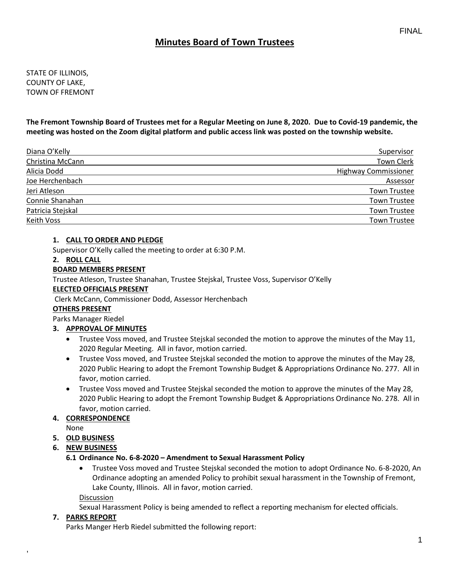# **Minutes Board of Town Trustees**

STATE OF ILLINOIS, COUNTY OF LAKE, TOWN OF FREMONT

**The Fremont Township Board of Trustees met for a Regular Meeting on June 8, 2020. Due to Covid-19 pandemic, the meeting was hosted on the Zoom digital platform and public access link was posted on the township website.**

| Diana O'Kelly     | Supervisor                  |
|-------------------|-----------------------------|
| Christina McCann  | <b>Town Clerk</b>           |
| Alicia Dodd       | <b>Highway Commissioner</b> |
| Joe Herchenbach   | Assessor                    |
| Jeri Atleson      | <b>Town Trustee</b>         |
| Connie Shanahan   | <b>Town Trustee</b>         |
| Patricia Stejskal | <b>Town Trustee</b>         |
| Keith Voss        | Town Trustee                |

### **1. CALL TO ORDER AND PLEDGE**

Supervisor O'Kelly called the meeting to order at 6:30 P.M.

#### **2. ROLL CALL**

### **BOARD MEMBERS PRESENT**

Trustee Atleson, Trustee Shanahan, Trustee Stejskal, Trustee Voss, Supervisor O'Kelly

#### **ELECTED OFFICIALS PRESENT**

Clerk McCann, Commissioner Dodd, Assessor Herchenbach

### **OTHERS PRESENT**

Parks Manager Riedel

### **3. APPROVAL OF MINUTES**

- Trustee Voss moved, and Trustee Stejskal seconded the motion to approve the minutes of the May 11, 2020 Regular Meeting. All in favor, motion carried.
- Trustee Voss moved, and Trustee Stejskal seconded the motion to approve the minutes of the May 28, 2020 Public Hearing to adopt the Fremont Township Budget & Appropriations Ordinance No. 277. All in favor, motion carried.
- Trustee Voss moved and Trustee Stejskal seconded the motion to approve the minutes of the May 28, 2020 Public Hearing to adopt the Fremont Township Budget & Appropriations Ordinance No. 278. All in favor, motion carried.

## **4. CORRESPONDENCE**

None

### **5. OLD BUSINESS**

**6. NEW BUSINESS**

### **6.1 Ordinance No. 6-8-2020 – Amendment to Sexual Harassment Policy**

• Trustee Voss moved and Trustee Stejskal seconded the motion to adopt Ordinance No. 6-8-2020, An Ordinance adopting an amended Policy to prohibit sexual harassment in the Township of Fremont, Lake County, Illinois. All in favor, motion carried.

**Discussion** 

Sexual Harassment Policy is being amended to reflect a reporting mechanism for elected officials.

### **7. PARKS REPORT**

,

Parks Manger Herb Riedel submitted the following report: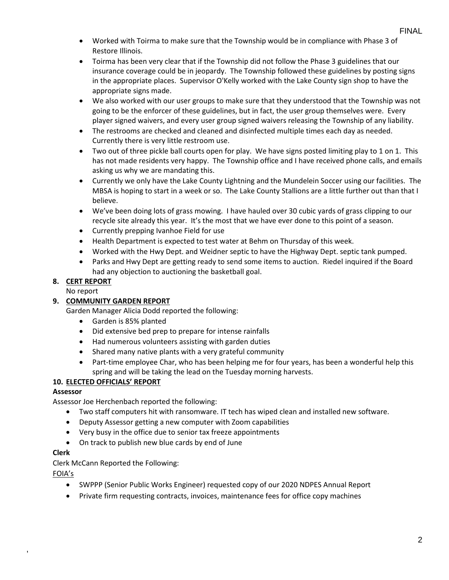- Worked with Toirma to make sure that the Township would be in compliance with Phase 3 of Restore Illinois.
- Toirma has been very clear that if the Township did not follow the Phase 3 guidelines that our insurance coverage could be in jeopardy. The Township followed these guidelines by posting signs in the appropriate places. Supervisor O'Kelly worked with the Lake County sign shop to have the appropriate signs made.
- We also worked with our user groups to make sure that they understood that the Township was not going to be the enforcer of these guidelines, but in fact, the user group themselves were. Every player signed waivers, and every user group signed waivers releasing the Township of any liability.
- The restrooms are checked and cleaned and disinfected multiple times each day as needed. Currently there is very little restroom use.
- Two out of three pickle ball courts open for play. We have signs posted limiting play to 1 on 1. This has not made residents very happy. The Township office and I have received phone calls, and emails asking us why we are mandating this.
- Currently we only have the Lake County Lightning and the Mundelein Soccer using our facilities. The MBSA is hoping to start in a week or so. The Lake County Stallions are a little further out than that I believe.
- We've been doing lots of grass mowing. I have hauled over 30 cubic yards of grass clipping to our recycle site already this year. It's the most that we have ever done to this point of a season.
- Currently prepping Ivanhoe Field for use
- Health Department is expected to test water at Behm on Thursday of this week.
- Worked with the Hwy Dept. and Weidner septic to have the Highway Dept. septic tank pumped.
- Parks and Hwy Dept are getting ready to send some items to auction. Riedel inquired if the Board had any objection to auctioning the basketball goal.

# **8. CERT REPORT**

No report

### **9. COMMUNITY GARDEN REPORT**

Garden Manager Alicia Dodd reported the following:

- Garden is 85% planted
- Did extensive bed prep to prepare for intense rainfalls
- Had numerous volunteers assisting with garden duties
- Shared many native plants with a very grateful community
- Part-time employee Char, who has been helping me for four years, has been a wonderful help this spring and will be taking the lead on the Tuesday morning harvests.

### **10. ELECTED OFFICIALS' REPORT**

### **Assessor**

Assessor Joe Herchenbach reported the following:

- Two staff computers hit with ransomware. IT tech has wiped clean and installed new software.
- Deputy Assessor getting a new computer with Zoom capabilities
- Very busy in the office due to senior tax freeze appointments
- On track to publish new blue cards by end of June

### **Clerk**

Clerk McCann Reported the Following:

FOIA's

,

- SWPPP (Senior Public Works Engineer) requested copy of our 2020 NDPES Annual Report
- Private firm requesting contracts, invoices, maintenance fees for office copy machines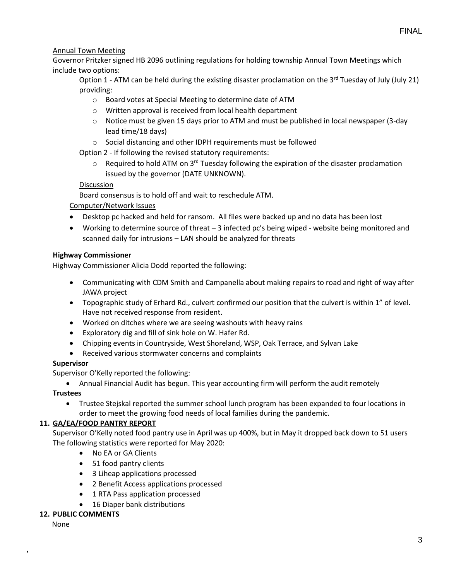## Annual Town Meeting

Governor Pritzker signed HB 2096 outlining regulations for holding township Annual Town Meetings which include two options:

Option 1 - ATM can be held during the existing disaster proclamation on the 3<sup>rd</sup> Tuesday of July (July 21) providing:

- o Board votes at Special Meeting to determine date of ATM
- o Written approval is received from local health department
- o Notice must be given 15 days prior to ATM and must be published in local newspaper (3-day lead time/18 days)
- o Social distancing and other IDPH requirements must be followed

Option 2 - If following the revised statutory requirements:

 $\circ$  Required to hold ATM on 3<sup>rd</sup> Tuesday following the expiration of the disaster proclamation issued by the governor (DATE UNKNOWN).

### **Discussion**

Board consensus is to hold off and wait to reschedule ATM.

### Computer/Network Issues

- Desktop pc hacked and held for ransom. All files were backed up and no data has been lost
- Working to determine source of threat  $-3$  infected pc's being wiped website being monitored and scanned daily for intrusions – LAN should be analyzed for threats

### **Highway Commissioner**

Highway Commissioner Alicia Dodd reported the following:

- Communicating with CDM Smith and Campanella about making repairs to road and right of way after JAWA project
- Topographic study of Erhard Rd., culvert confirmed our position that the culvert is within 1" of level. Have not received response from resident.
- Worked on ditches where we are seeing washouts with heavy rains
- Exploratory dig and fill of sink hole on W. Hafer Rd.
- Chipping events in Countryside, West Shoreland, WSP, Oak Terrace, and Sylvan Lake
- Received various stormwater concerns and complaints

### **Supervisor**

Supervisor O'Kelly reported the following:

• Annual Financial Audit has begun. This year accounting firm will perform the audit remotely

### **Trustees**

• Trustee Stejskal reported the summer school lunch program has been expanded to four locations in order to meet the growing food needs of local families during the pandemic.

### **11. GA/EA/FOOD PANTRY REPORT**

Supervisor O'Kelly noted food pantry use in April was up 400%, but in May it dropped back down to 51 users The following statistics were reported for May 2020:

- No EA or GA Clients
- 51 food pantry clients
- 3 Liheap applications processed
- 2 Benefit Access applications processed
- 1 RTA Pass application processed
- 16 Diaper bank distributions

### **12. PUBLIC COMMENTS**

None

,